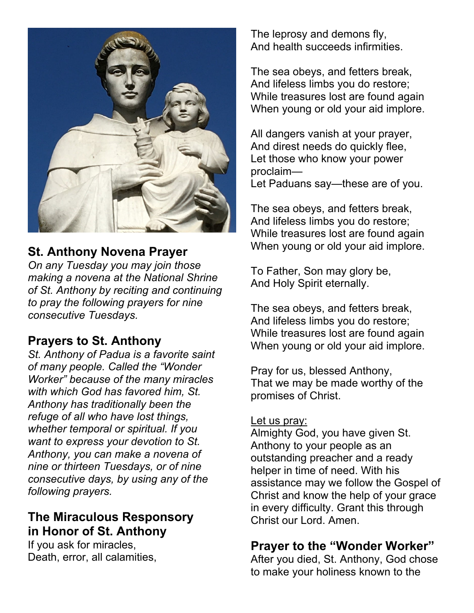

# **St. Anthony Novena Prayer**

*On any Tuesday you may join those making a novena at the National Shrine of St. Anthony by reciting and continuing to pray the following prayers for nine consecutive Tuesdays.* 

# **Prayers to St. Anthony**

*St. Anthony of Padua is a favorite saint of many people. Called the "Wonder Worker" because of the many miracles with which God has favored him, St. Anthony has traditionally been the refuge of all who have lost things, whether temporal or spiritual. If you want to express your devotion to St. Anthony, you can make a novena of nine or thirteen Tuesdays, or of nine consecutive days, by using any of the following prayers.* 

# **The Miraculous Responsory in Honor of St. Anthony**

If you ask for miracles, Death, error, all calamities, The leprosy and demons fly, And health succeeds infirmities.

The sea obeys, and fetters break, And lifeless limbs you do restore; While treasures lost are found again When young or old your aid implore.

All dangers vanish at your prayer, And direst needs do quickly flee, Let those who know your power proclaim— Let Paduans say—these are of you.

The sea obeys, and fetters break, And lifeless limbs you do restore; While treasures lost are found again When young or old your aid implore.

To Father, Son may glory be, And Holy Spirit eternally.

The sea obeys, and fetters break, And lifeless limbs you do restore; While treasures lost are found again When young or old your aid implore.

Pray for us, blessed Anthony, That we may be made worthy of the promises of Christ.

#### Let us pray:

Almighty God, you have given St. Anthony to your people as an outstanding preacher and a ready helper in time of need. With his assistance may we follow the Gospel of Christ and know the help of your grace in every difficulty. Grant this through Christ our Lord. Amen.

### **Prayer to the "Wonder Worker"**

After you died, St. Anthony, God chose to make your holiness known to the